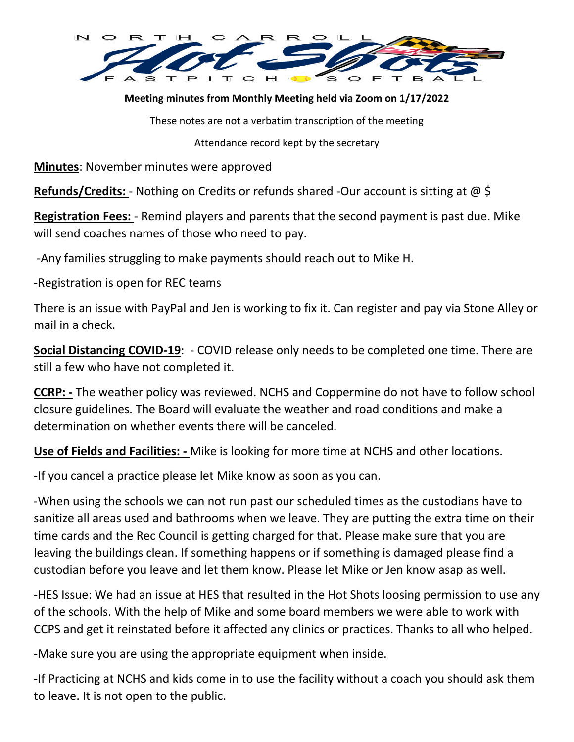

**Meeting minutes from Monthly Meeting held via Zoom on 1/17/2022**

These notes are not a verbatim transcription of the meeting

Attendance record kept by the secretary

**Minutes**: November minutes were approved

**Refunds/Credits:** - Nothing on Credits or refunds shared -Our account is sitting at @ \$

**Registration Fees:** - Remind players and parents that the second payment is past due. Mike will send coaches names of those who need to pay.

-Any families struggling to make payments should reach out to Mike H.

-Registration is open for REC teams

There is an issue with PayPal and Jen is working to fix it. Can register and pay via Stone Alley or mail in a check.

**Social Distancing COVID-19**: - COVID release only needs to be completed one time. There are still a few who have not completed it.

**CCRP: -** The weather policy was reviewed. NCHS and Coppermine do not have to follow school closure guidelines. The Board will evaluate the weather and road conditions and make a determination on whether events there will be canceled.

**Use of Fields and Facilities: -** Mike is looking for more time at NCHS and other locations.

-If you cancel a practice please let Mike know as soon as you can.

-When using the schools we can not run past our scheduled times as the custodians have to sanitize all areas used and bathrooms when we leave. They are putting the extra time on their time cards and the Rec Council is getting charged for that. Please make sure that you are leaving the buildings clean. If something happens or if something is damaged please find a custodian before you leave and let them know. Please let Mike or Jen know asap as well.

-HES Issue: We had an issue at HES that resulted in the Hot Shots loosing permission to use any of the schools. With the help of Mike and some board members we were able to work with CCPS and get it reinstated before it affected any clinics or practices. Thanks to all who helped.

-Make sure you are using the appropriate equipment when inside.

-If Practicing at NCHS and kids come in to use the facility without a coach you should ask them to leave. It is not open to the public.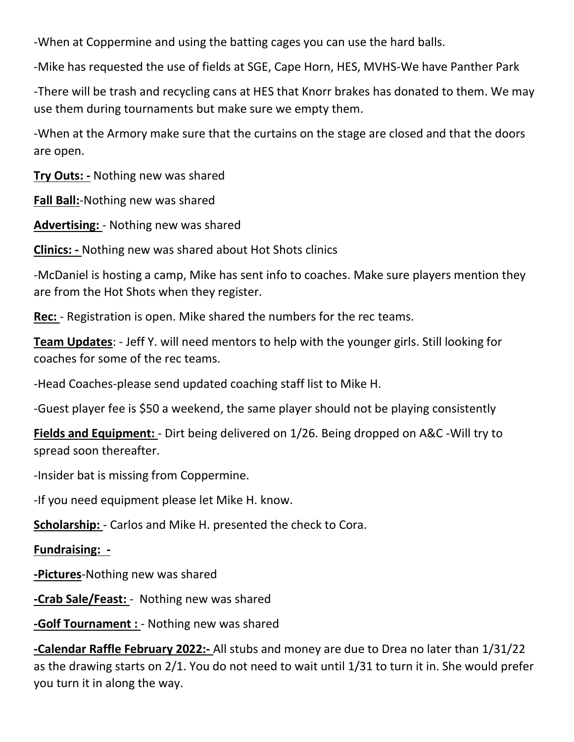-When at Coppermine and using the batting cages you can use the hard balls.

-Mike has requested the use of fields at SGE, Cape Horn, HES, MVHS-We have Panther Park

-There will be trash and recycling cans at HES that Knorr brakes has donated to them. We may use them during tournaments but make sure we empty them.

-When at the Armory make sure that the curtains on the stage are closed and that the doors are open.

**Try Outs: -** Nothing new was shared

**Fall Ball:**-Nothing new was shared

**Advertising:** - Nothing new was shared

**Clinics: -** Nothing new was shared about Hot Shots clinics

-McDaniel is hosting a camp, Mike has sent info to coaches. Make sure players mention they are from the Hot Shots when they register.

**Rec:** - Registration is open. Mike shared the numbers for the rec teams.

**Team Updates**: - Jeff Y. will need mentors to help with the younger girls. Still looking for coaches for some of the rec teams.

-Head Coaches-please send updated coaching staff list to Mike H.

-Guest player fee is \$50 a weekend, the same player should not be playing consistently

**Fields and Equipment:** - Dirt being delivered on 1/26. Being dropped on A&C -Will try to spread soon thereafter.

-Insider bat is missing from Coppermine.

-If you need equipment please let Mike H. know.

**Scholarship:** - Carlos and Mike H. presented the check to Cora.

## **Fundraising: -**

**-Pictures**-Nothing new was shared

**-Crab Sale/Feast:** - Nothing new was shared

**-Golf Tournament :** - Nothing new was shared

**-Calendar Raffle February 2022:-** All stubs and money are due to Drea no later than 1/31/22 as the drawing starts on 2/1. You do not need to wait until 1/31 to turn it in. She would prefer you turn it in along the way.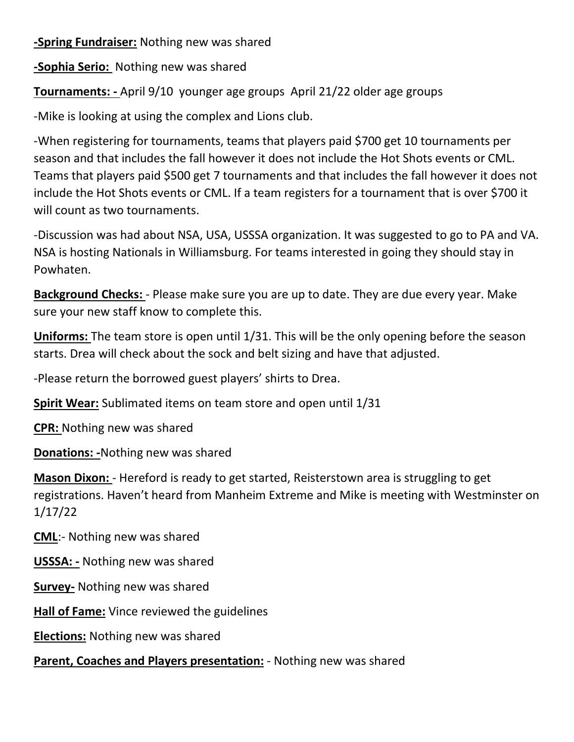**-Spring Fundraiser:** Nothing new was shared

**-Sophia Serio:** Nothing new was shared

**Tournaments: -** April 9/10 younger age groups April 21/22 older age groups

-Mike is looking at using the complex and Lions club.

-When registering for tournaments, teams that players paid \$700 get 10 tournaments per season and that includes the fall however it does not include the Hot Shots events or CML. Teams that players paid \$500 get 7 tournaments and that includes the fall however it does not include the Hot Shots events or CML. If a team registers for a tournament that is over \$700 it will count as two tournaments.

-Discussion was had about NSA, USA, USSSA organization. It was suggested to go to PA and VA. NSA is hosting Nationals in Williamsburg. For teams interested in going they should stay in Powhaten.

**Background Checks:** - Please make sure you are up to date. They are due every year. Make sure your new staff know to complete this.

**Uniforms:** The team store is open until 1/31. This will be the only opening before the season starts. Drea will check about the sock and belt sizing and have that adjusted.

-Please return the borrowed guest players' shirts to Drea.

**Spirit Wear:** Sublimated items on team store and open until 1/31

**CPR:** Nothing new was shared

**Donations: -**Nothing new was shared

**Mason Dixon:** - Hereford is ready to get started, Reisterstown area is struggling to get registrations. Haven't heard from Manheim Extreme and Mike is meeting with Westminster on 1/17/22

**CML**:- Nothing new was shared

**USSSA: -** Nothing new was shared

**Survey-** Nothing new was shared

**Hall of Fame:** Vince reviewed the guidelines

**Elections:** Nothing new was shared

**Parent, Coaches and Players presentation:** - Nothing new was shared